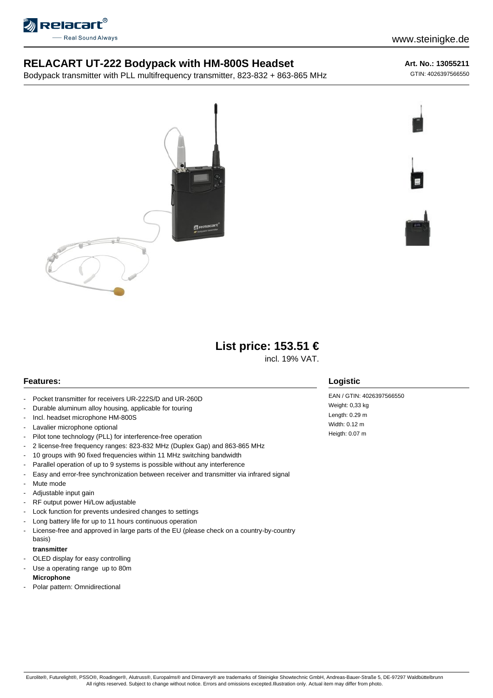

## **RELACART UT-222 Bodypack with HM-800S Headset**

Bodypack transmitter with PLL multifrequency transmitter, 823-832 + 863-865 MHz

## **Art. No.: 13055211**

GTIN: 4026397566550





**List price: 153.51 €**

incl. 19% VAT.

## **Features:**

- Pocket transmitter for receivers UR-222S/D and UR-260D
- Durable aluminum alloy housing, applicable for touring
- Incl. headset microphone HM-800S
- Lavalier microphone optional
- Pilot tone technology (PLL) for interference-free operation
- 2 license-free frequency ranges: 823-832 MHz (Duplex Gap) and 863-865 MHz
- 10 groups with 90 fixed frequencies within 11 MHz switching bandwidth
- Parallel operation of up to 9 systems is possible without any interference
- Easy and error-free synchronization between receiver and transmitter via infrared signal
- Mute mode
- Adjustable input gain
- RF output power Hi/Low adjustable
- Lock function for prevents undesired changes to settings
- Long battery life for up to 11 hours continuous operation
- License-free and approved in large parts of the EU (please check on a country-by-country basis)

#### **transmitter**

- OLED display for easy controlling
- Use a operating range up to 80m
- **Microphone**
- Polar pattern: Omnidirectional

## **Logistic**

EAN / GTIN: 4026397566550 Weight: 0,33 kg Length: 0.29 m Width: 0.12 m Heigth: 0.07 m

Eurolite®, Futurelight®, PSSO®, Roadinger®, Alutruss®, Europalms® and Dimavery® are trademarks of Steinigke Showtechnic GmbH, Andreas-Bauer-Straße 5, DE-97297 Waldbüttelbrunn All rights reserved. Subject to change without notice. Errors and omissions excepted.Illustration only. Actual item may differ from photo.